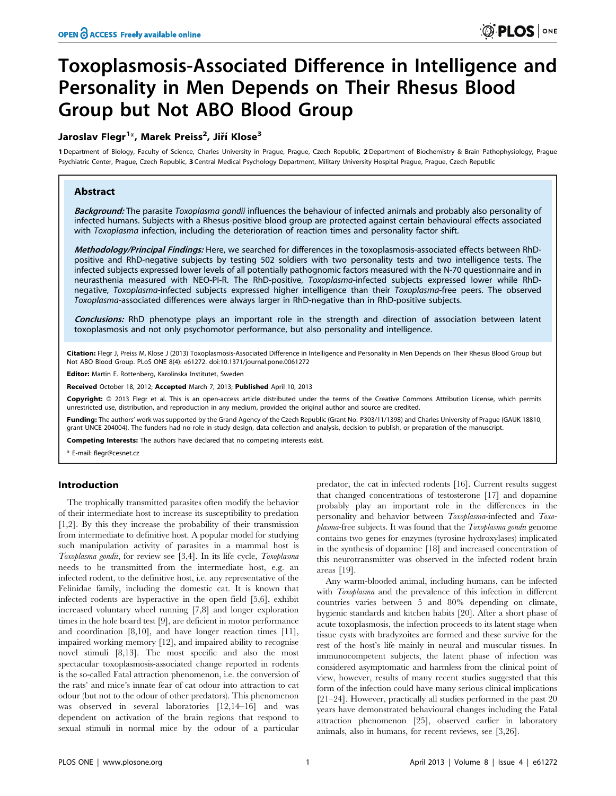# Toxoplasmosis-Associated Difference in Intelligence and Personality in Men Depends on Their Rhesus Blood Group but Not ABO Blood Group

# Jaroslav Flegr<sup>1</sup>\*, Marek Preiss<sup>2</sup>, Jiří Klose<sup>3</sup>

1 Department of Biology, Faculty of Science, Charles University in Prague, Prague, Czech Republic, 2 Department of Biochemistry & Brain Pathophysiology, Prague Psychiatric Center, Prague, Czech Republic, 3 Central Medical Psychology Department, Military University Hospital Prague, Prague, Czech Republic

## Abstract

Background: The parasite Toxoplasma gondii influences the behaviour of infected animals and probably also personality of infected humans. Subjects with a Rhesus-positive blood group are protected against certain behavioural effects associated with Toxoplasma infection, including the deterioration of reaction times and personality factor shift.

Methodology/Principal Findings: Here, we searched for differences in the toxoplasmosis-associated effects between RhDpositive and RhD-negative subjects by testing 502 soldiers with two personality tests and two intelligence tests. The infected subjects expressed lower levels of all potentially pathognomic factors measured with the N-70 questionnaire and in neurasthenia measured with NEO-PI-R. The RhD-positive, Toxoplasma-infected subjects expressed lower while RhDnegative, Toxoplasma-infected subjects expressed higher intelligence than their Toxoplasma-free peers. The observed Toxoplasma-associated differences were always larger in RhD-negative than in RhD-positive subjects.

Conclusions: RhD phenotype plays an important role in the strength and direction of association between latent toxoplasmosis and not only psychomotor performance, but also personality and intelligence.

Citation: Flegr J, Preiss M, Klose J (2013) Toxoplasmosis-Associated Difference in Intelligence and Personality in Men Depends on Their Rhesus Blood Group but Not ABO Blood Group. PLoS ONE 8(4): e61272. doi:10.1371/journal.pone.0061272

Editor: Martin E. Rottenberg, Karolinska Institutet, Sweden

Received October 18, 2012; Accepted March 7, 2013; Published April 10, 2013

Copyright: © 2013 Flegr et al. This is an open-access article distributed under the terms of the Creative Commons Attribution License, which permits unrestricted use, distribution, and reproduction in any medium, provided the original author and source are credited.

Funding: The authors' work was supported by the Grand Agency of the Czech Republic (Grant No. P303/11/1398) and Charles University of Prague (GAUK 18810, grant UNCE 204004). The funders had no role in study design, data collection and analysis, decision to publish, or preparation of the manuscript.

Competing Interests: The authors have declared that no competing interests exist.

\* E-mail: flegr@cesnet.cz

#### Introduction

The trophically transmitted parasites often modify the behavior of their intermediate host to increase its susceptibility to predation [1,2]. By this they increase the probability of their transmission from intermediate to definitive host. A popular model for studying such manipulation activity of parasites in a mammal host is Toxoplasma gondii, for review see [3,4]. In its life cycle, Toxoplasma needs to be transmitted from the intermediate host, e.g. an infected rodent, to the definitive host, i.e. any representative of the Felinidae family, including the domestic cat. It is known that infected rodents are hyperactive in the open field [5,6], exhibit increased voluntary wheel running [7,8] and longer exploration times in the hole board test [9], are deficient in motor performance and coordination [8,10], and have longer reaction times [11], impaired working memory [12], and impaired ability to recognise novel stimuli [8,13]. The most specific and also the most spectacular toxoplasmosis-associated change reported in rodents is the so-called Fatal attraction phenomenon, i.e. the conversion of the rats' and mice's innate fear of cat odour into attraction to cat odour (but not to the odour of other predators). This phenomenon was observed in several laboratories [12,14–16] and was dependent on activation of the brain regions that respond to sexual stimuli in normal mice by the odour of a particular

predator, the cat in infected rodents [16]. Current results suggest that changed concentrations of testosterone [17] and dopamine probably play an important role in the differences in the personality and behavior between Toxoplasma-infected and Toxoplasma-free subjects. It was found that the Toxoplasma gondii genome contains two genes for enzymes (tyrosine hydroxylases) implicated in the synthesis of dopamine [18] and increased concentration of this neurotransmitter was observed in the infected rodent brain areas [19].

Any warm-blooded animal, including humans, can be infected with *Toxoplasma* and the prevalence of this infection in different countries varies between 5 and 80% depending on climate, hygienic standards and kitchen habits [20]. After a short phase of acute toxoplasmosis, the infection proceeds to its latent stage when tissue cysts with bradyzoites are formed and these survive for the rest of the host's life mainly in neural and muscular tissues. In immunocompetent subjects, the latent phase of infection was considered asymptomatic and harmless from the clinical point of view, however, results of many recent studies suggested that this form of the infection could have many serious clinical implications [21–24]. However, practically all studies performed in the past 20 years have demonstrated behavioural changes including the Fatal attraction phenomenon [25], observed earlier in laboratory animals, also in humans, for recent reviews, see [3,26].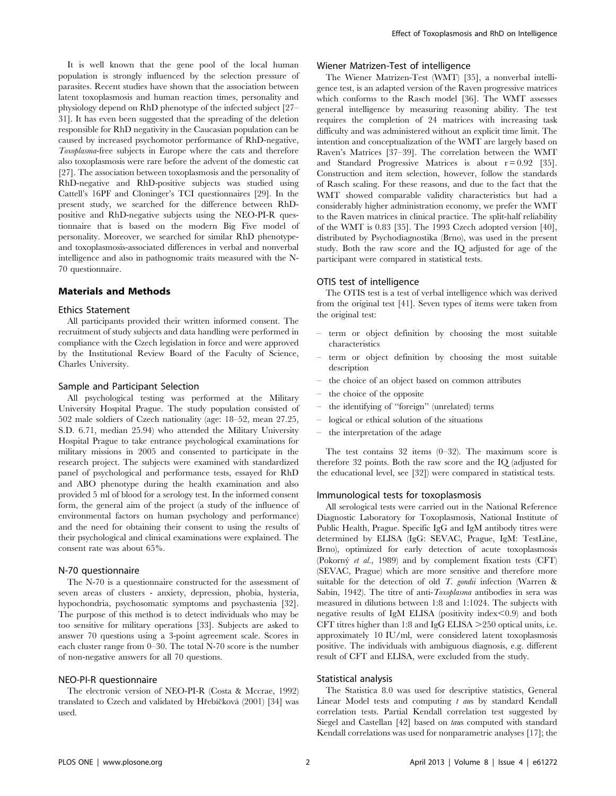It is well known that the gene pool of the local human population is strongly influenced by the selection pressure of parasites. Recent studies have shown that the association between latent toxoplasmosis and human reaction times, personality and physiology depend on RhD phenotype of the infected subject [27– 31]. It has even been suggested that the spreading of the deletion responsible for RhD negativity in the Caucasian population can be caused by increased psychomotor performance of RhD-negative, Toxoplasma-free subjects in Europe where the cats and therefore also toxoplasmosis were rare before the advent of the domestic cat [27]. The association between toxoplasmosis and the personality of RhD-negative and RhD-positive subjects was studied using Cattell's 16PF and Cloninger's TCI questionnaires [29]. In the present study, we searched for the difference between RhDpositive and RhD-negative subjects using the NEO-PI-R questionnaire that is based on the modern Big Five model of personality. Moreover, we searched for similar RhD phenotypeand toxoplasmosis-associated differences in verbal and nonverbal intelligence and also in pathognomic traits measured with the N-70 questionnaire.

#### Materials and Methods

#### Ethics Statement

All participants provided their written informed consent. The recruitment of study subjects and data handling were performed in compliance with the Czech legislation in force and were approved by the Institutional Review Board of the Faculty of Science, Charles University.

#### Sample and Participant Selection

All psychological testing was performed at the Military University Hospital Prague. The study population consisted of 502 male soldiers of Czech nationality (age: 18–52, mean 27.25, S.D. 6.71, median 25.94) who attended the Military University Hospital Prague to take entrance psychological examinations for military missions in 2005 and consented to participate in the research project. The subjects were examined with standardized panel of psychological and performance tests, essayed for RhD and ABO phenotype during the health examination and also provided 5 ml of blood for a serology test. In the informed consent form, the general aim of the project (a study of the influence of environmental factors on human psychology and performance) and the need for obtaining their consent to using the results of their psychological and clinical examinations were explained. The consent rate was about 65%.

#### N-70 questionnaire

The N-70 is a questionnaire constructed for the assessment of seven areas of clusters - anxiety, depression, phobia, hysteria, hypochondria, psychosomatic symptoms and psychastenia [32]. The purpose of this method is to detect individuals who may be too sensitive for military operations [33]. Subjects are asked to answer 70 questions using a 3-point agreement scale. Scores in each cluster range from 0–30. The total N-70 score is the number of non-negative answers for all 70 questions.

#### NEO-PI-R questionnaire

The electronic version of NEO-PI-R (Costa & Mccrae, 1992) translated to Czech and validated by Hřebíčková (2001) [34] was used.

#### Wiener Matrizen-Test of intelligence

The Wiener Matrizen-Test (WMT) [35], a nonverbal intelligence test, is an adapted version of the Raven progressive matrices which conforms to the Rasch model [36]. The WMT assesses general intelligence by measuring reasoning ability. The test requires the completion of 24 matrices with increasing task difficulty and was administered without an explicit time limit. The intention and conceptualization of the WMT are largely based on Raven's Matrices [37–39]. The correlation between the WMT and Standard Progressive Matrices is about  $r = 0.92$  [35]. Construction and item selection, however, follow the standards of Rasch scaling. For these reasons, and due to the fact that the WMT showed comparable validity characteristics but had a considerably higher administration economy, we prefer the WMT to the Raven matrices in clinical practice. The split-half reliability of the WMT is 0.83 [35]. The 1993 Czech adopted version [40], distributed by Psychodiagnostika (Brno), was used in the present study. Both the raw score and the IQ adjusted for age of the participant were compared in statistical tests.

#### OTIS test of intelligence

The OTIS test is a test of verbal intelligence which was derived from the original test [41]. Seven types of items were taken from the original test:

- term or object definition by choosing the most suitable characteristics
- term or object definition by choosing the most suitable description
- the choice of an object based on common attributes
- the choice of the opposite
- the identifying of "foreign" (unrelated) terms
- logical or ethical solution of the situations
- the interpretation of the adage

The test contains 32 items (0–32). The maximum score is therefore 32 points. Both the raw score and the IQ (adjusted for the educational level, see [32]) were compared in statistical tests.

#### Immunological tests for toxoplasmosis

All serological tests were carried out in the National Reference Diagnostic Laboratory for Toxoplasmosis, National Institute of Public Health, Prague. Specific IgG and IgM antibody titres were determined by ELISA (IgG: SEVAC, Prague, IgM: TestLine, Brno), optimized for early detection of acute toxoplasmosis (Pokorný et al., 1989) and by complement fixation tests (CFT) (SEVAC, Prague) which are more sensitive and therefore more suitable for the detection of old  $T$ . gondii infection (Warren & Sabin, 1942). The titre of anti-Toxoplasma antibodies in sera was measured in dilutions between 1:8 and 1:1024. The subjects with negative results of IgM ELISA (positivity index $\leq$ 0.9) and both CFT titres higher than 1:8 and IgG ELISA  $>$  250 optical units, i.e. approximately 10 IU/ml, were considered latent toxoplasmosis positive. The individuals with ambiguous diagnosis, e.g. different result of CFT and ELISA, were excluded from the study.

#### Statistical analysis

The Statistica 8.0 was used for descriptive statistics, General Linear Model tests and computing  $t$  aus by standard Kendall correlation tests. Partial Kendall correlation test suggested by Siegel and Castellan [42] based on taus computed with standard Kendall correlations was used for nonparametric analyses [17]; the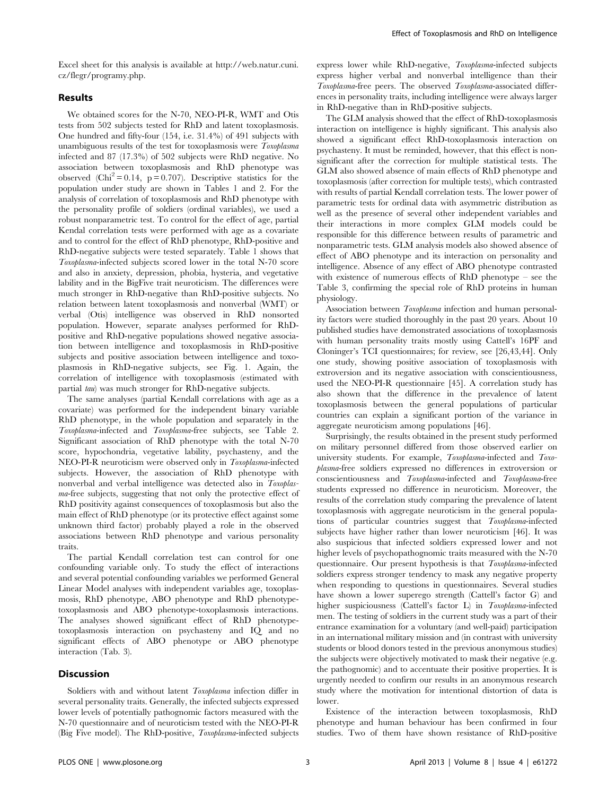Excel sheet for this analysis is available at http://web.natur.cuni. cz/flegr/programy.php.

# Results

We obtained scores for the N-70, NEO-PI-R, WMT and Otis tests from 502 subjects tested for RhD and latent toxoplasmosis. One hundred and fifty-four (154, i.e. 31.4%) of 491 subjects with unambiguous results of the test for toxoplasmosis were Toxoplasma infected and 87 (17.3%) of 502 subjects were RhD negative. No association between toxoplasmosis and RhD phenotype was observed (Chi<sup>2</sup> = 0.14,  $p = 0.707$ ). Descriptive statistics for the population under study are shown in Tables 1 and 2. For the analysis of correlation of toxoplasmosis and RhD phenotype with the personality profile of soldiers (ordinal variables), we used a robust nonparametric test. To control for the effect of age, partial Kendal correlation tests were performed with age as a covariate and to control for the effect of RhD phenotype, RhD-positive and RhD-negative subjects were tested separately. Table 1 shows that Toxoplasma-infected subjects scored lower in the total N-70 score and also in anxiety, depression, phobia, hysteria, and vegetative lability and in the BigFive trait neuroticism. The differences were much stronger in RhD-negative than RhD-positive subjects. No relation between latent toxoplasmosis and nonverbal (WMT) or verbal (Otis) intelligence was observed in RhD nonsorted population. However, separate analyses performed for RhDpositive and RhD-negative populations showed negative association between intelligence and toxoplasmosis in RhD-positive subjects and positive association between intelligence and toxoplasmosis in RhD-negative subjects, see Fig. 1. Again, the correlation of intelligence with toxoplasmosis (estimated with partial tau) was much stronger for RhD-negative subjects.

The same analyses (partial Kendall correlations with age as a covariate) was performed for the independent binary variable RhD phenotype, in the whole population and separately in the Toxoplasma-infected and Toxoplasma-free subjects, see Table 2. Significant association of RhD phenotype with the total N-70 score, hypochondria, vegetative lability, psychasteny, and the NEO-PI-R neuroticism were observed only in Toxoplasma-infected subjects. However, the association of RhD phenotype with nonverbal and verbal intelligence was detected also in Toxoplasma-free subjects, suggesting that not only the protective effect of RhD positivity against consequences of toxoplasmosis but also the main effect of RhD phenotype (or its protective effect against some unknown third factor) probably played a role in the observed associations between RhD phenotype and various personality traits.

The partial Kendall correlation test can control for one confounding variable only. To study the effect of interactions and several potential confounding variables we performed General Linear Model analyses with independent variables age, toxoplasmosis, RhD phenotype, ABO phenotype and RhD phenotypetoxoplasmosis and ABO phenotype-toxoplasmosis interactions. The analyses showed significant effect of RhD phenotypetoxoplasmosis interaction on psychasteny and IQ and no significant effects of ABO phenotype or ABO phenotype interaction (Tab. 3).

# **Discussion**

Soldiers with and without latent Toxoplasma infection differ in several personality traits. Generally, the infected subjects expressed lower levels of potentially pathognomic factors measured with the N-70 questionnaire and of neuroticism tested with the NEO-PI-R (Big Five model). The RhD-positive, Toxoplasma-infected subjects express lower while RhD-negative, Toxoplasma-infected subjects express higher verbal and nonverbal intelligence than their Toxoplasma-free peers. The observed Toxoplasma-associated differences in personality traits, including intelligence were always larger in RhD-negative than in RhD-positive subjects.

The GLM analysis showed that the effect of RhD-toxoplasmosis interaction on intelligence is highly significant. This analysis also showed a significant effect RhD-toxoplasmosis interaction on psychasteny. It must be reminded, however, that this effect is nonsignificant after the correction for multiple statistical tests. The GLM also showed absence of main effects of RhD phenotype and toxoplasmosis (after correction for multiple tests), which contrasted with results of partial Kendall correlation tests. The lower power of parametric tests for ordinal data with asymmetric distribution as well as the presence of several other independent variables and their interactions in more complex GLM models could be responsible for this difference between results of parametric and nonparametric tests. GLM analysis models also showed absence of effect of ABO phenotype and its interaction on personality and intelligence. Absence of any effect of ABO phenotype contrasted with existence of numerous effects of RhD phenotype – see the Table 3, confirming the special role of RhD proteins in human physiology.

Association between Toxoplasma infection and human personality factors were studied thoroughly in the past 20 years. About 10 published studies have demonstrated associations of toxoplasmosis with human personality traits mostly using Cattell's 16PF and Cloninger's TCI questionnaires; for review, see [26,43,44]. Only one study, showing positive association of toxoplasmosis with extroversion and its negative association with conscientiousness, used the NEO-PI-R questionnaire [45]. A correlation study has also shown that the difference in the prevalence of latent toxoplasmosis between the general populations of particular countries can explain a significant portion of the variance in aggregate neuroticism among populations [46].

Surprisingly, the results obtained in the present study performed on military personnel differed from those observed earlier on university students. For example, *Toxoplasma*-infected and *Toxo*plasma-free soldiers expressed no differences in extroversion or conscientiousness and Toxoplasma-infected and Toxoplasma-free students expressed no difference in neuroticism. Moreover, the results of the correlation study comparing the prevalence of latent toxoplasmosis with aggregate neuroticism in the general populations of particular countries suggest that Toxoplasma-infected subjects have higher rather than lower neuroticism [46]. It was also suspicious that infected soldiers expressed lower and not higher levels of psychopathognomic traits measured with the N-70 questionnaire. Our present hypothesis is that Toxoplasma-infected soldiers express stronger tendency to mask any negative property when responding to questions in questionnaires. Several studies have shown a lower superego strength (Cattell's factor G) and higher suspiciousness (Cattell's factor L) in Toxoplasma-infected men. The testing of soldiers in the current study was a part of their entrance examination for a voluntary (and well-paid) participation in an international military mission and (in contrast with university students or blood donors tested in the previous anonymous studies) the subjects were objectively motivated to mask their negative (e.g. the pathognomic) and to accentuate their positive properties. It is urgently needed to confirm our results in an anonymous research study where the motivation for intentional distortion of data is lower.

Existence of the interaction between toxoplasmosis, RhD phenotype and human behaviour has been confirmed in four studies. Two of them have shown resistance of RhD-positive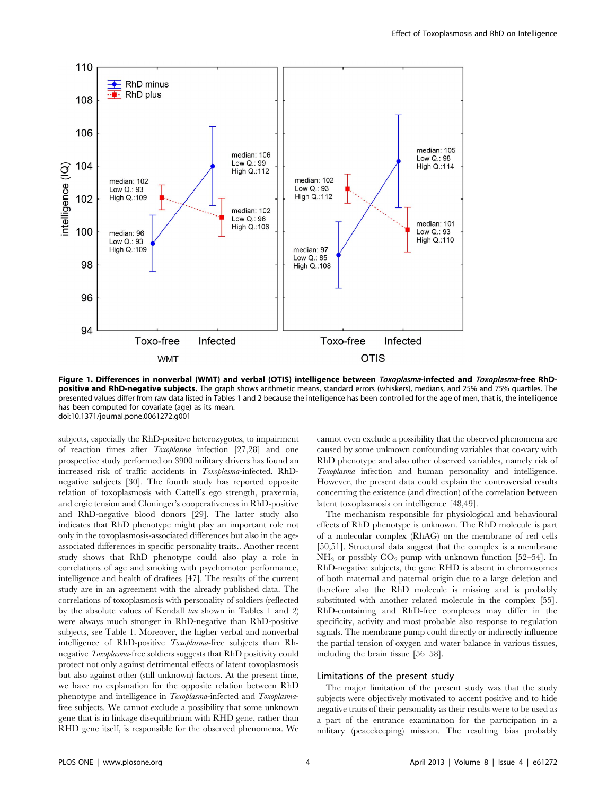

Figure 1. Differences in nonverbal (WMT) and verbal (OTIS) intelligence between Toxoplasma-infected and Toxoplasma-free RhDpositive and RhD-negative subjects. The graph shows arithmetic means, standard errors (whiskers), medians, and 25% and 75% quartiles. The presented values differ from raw data listed in Tables 1 and 2 because the intelligence has been controlled for the age of men, that is, the intelligence has been computed for covariate (age) as its mean. doi:10.1371/journal.pone.0061272.g001

subjects, especially the RhD-positive heterozygotes, to impairment of reaction times after Toxoplasma infection [27,28] and one prospective study performed on 3900 military drivers has found an increased risk of traffic accidents in Toxoplasma-infected, RhDnegative subjects [30]. The fourth study has reported opposite relation of toxoplasmosis with Cattell's ego strength, praxernia, and ergic tension and Cloninger's cooperativeness in RhD-positive and RhD-negative blood donors [29]. The latter study also indicates that RhD phenotype might play an important role not only in the toxoplasmosis-associated differences but also in the ageassociated differences in specific personality traits.. Another recent study shows that RhD phenotype could also play a role in correlations of age and smoking with psychomotor performance, intelligence and health of draftees [47]. The results of the current study are in an agreement with the already published data. The correlations of toxoplasmosis with personality of soldiers (reflected by the absolute values of Kendall tau shown in Tables 1 and 2) were always much stronger in RhD-negative than RhD-positive subjects, see Table 1. Moreover, the higher verbal and nonverbal intelligence of RhD-positive Toxoplasma-free subjects than Rhnegative Toxoplasma-free soldiers suggests that RhD positivity could protect not only against detrimental effects of latent toxoplasmosis but also against other (still unknown) factors. At the present time, we have no explanation for the opposite relation between RhD phenotype and intelligence in Toxoplasma-infected and Toxoplasmafree subjects. We cannot exclude a possibility that some unknown gene that is in linkage disequilibrium with RHD gene, rather than RHD gene itself, is responsible for the observed phenomena. We

cannot even exclude a possibility that the observed phenomena are caused by some unknown confounding variables that co-vary with RhD phenotype and also other observed variables, namely risk of Toxoplasma infection and human personality and intelligence. However, the present data could explain the controversial results concerning the existence (and direction) of the correlation between latent toxoplasmosis on intelligence [48,49].

The mechanism responsible for physiological and behavioural effects of RhD phenotype is unknown. The RhD molecule is part of a molecular complex (RhAG) on the membrane of red cells [50,51]. Structural data suggest that the complex is a membrane  $NH_3$  or possibly  $CO_2$  pump with unknown function [52–54]. In RhD-negative subjects, the gene RHD is absent in chromosomes of both maternal and paternal origin due to a large deletion and therefore also the RhD molecule is missing and is probably substituted with another related molecule in the complex [55]. RhD-containing and RhD-free complexes may differ in the specificity, activity and most probable also response to regulation signals. The membrane pump could directly or indirectly influence the partial tension of oxygen and water balance in various tissues, including the brain tissue [56–58].

## Limitations of the present study

The major limitation of the present study was that the study subjects were objectively motivated to accent positive and to hide negative traits of their personality as their results were to be used as a part of the entrance examination for the participation in a military (peacekeeping) mission. The resulting bias probably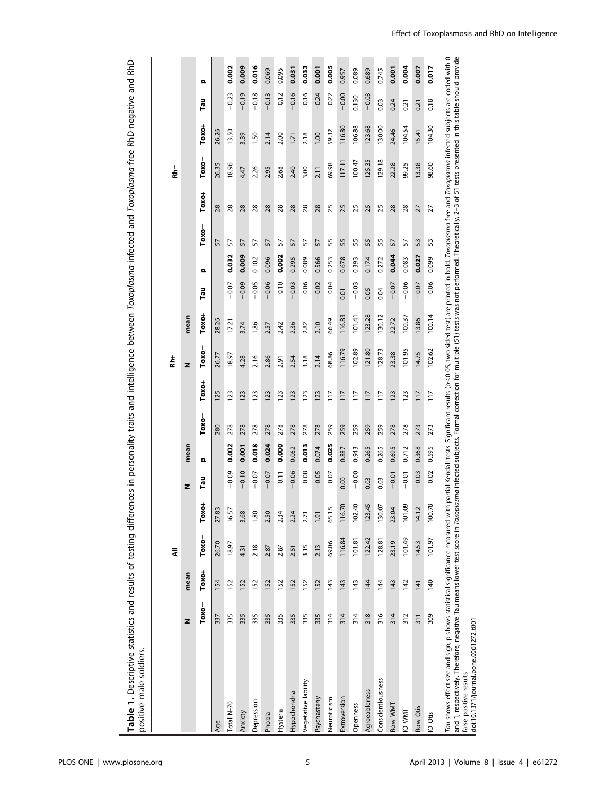|                                                                                                                                                                                                                                                                                                                                                                                                                                                                                                                                    |                 |       | ₹       |                       |         |          |         |       | 솙       |              |         |       |         |       | $\frac{1}{6}$ |        |         |       |
|------------------------------------------------------------------------------------------------------------------------------------------------------------------------------------------------------------------------------------------------------------------------------------------------------------------------------------------------------------------------------------------------------------------------------------------------------------------------------------------------------------------------------------|-----------------|-------|---------|-----------------------|---------|----------|---------|-------|---------|--------------|---------|-------|---------|-------|---------------|--------|---------|-------|
|                                                                                                                                                                                                                                                                                                                                                                                                                                                                                                                                    | z               | mean  |         |                       | z       | mean     |         |       | z       | mean         |         |       |         |       |               |        |         |       |
|                                                                                                                                                                                                                                                                                                                                                                                                                                                                                                                                    | $Toxo-$         | Toxo+ | $Toxo-$ | $\frac{1}{6}$<br>Toxo | Tau     | $\Omega$ | $Toxo-$ | Toxo+ | $Toxo-$ | <b>Toxo+</b> | Tau     | ௨     | $Toxo-$ | Toxo+ | L<br>Toxo-    | Toxo+  | Tau     | ء     |
| Age                                                                                                                                                                                                                                                                                                                                                                                                                                                                                                                                | 337             | 154   | 26.70   | 27.83                 |         |          | 280     | 125   | 26.77   | 28.26        |         |       | 57      | 28    | 26.35         | 26.26  |         |       |
| Total N-70                                                                                                                                                                                                                                                                                                                                                                                                                                                                                                                         | 335             | 152   | 18.97   | 16.57                 | 60.0    | 0.002    | 278     | 123   | 18.97   | 17.21        | $-0.07$ | 0.032 | 57      | 28    | 18.96         | 13.50  | $-0.23$ | 0.002 |
| Anxiety                                                                                                                                                                                                                                                                                                                                                                                                                                                                                                                            | 335             | 152   | 4.31    | 3.68                  | $-0.10$ | 0.001    | 278     | 123   | 4.28    | 3.74         | $-0.09$ | 0.009 | 57      | 28    | 4.47          | 3.39   | $-0.19$ | 0.009 |
| Depression                                                                                                                                                                                                                                                                                                                                                                                                                                                                                                                         | 335             | 152   | 2.18    | 1.80                  | $-0.07$ | 0.018    | 278     | 123   | 2.16    | 1.86         | $-0.05$ | 0.102 | 57      | 28    | 2.26          | 1.50   | $-0.18$ | 0.016 |
| Phobia                                                                                                                                                                                                                                                                                                                                                                                                                                                                                                                             | 335             | 152   | 2.87    | 2.50                  | $-0.07$ | 0.024    | 278     | 123   | 2.86    | 2.57         | $-0.06$ | 0.096 | 57      | 28    | 2.95          | 2.14   | $-0.13$ | 0.069 |
| Hysteria                                                                                                                                                                                                                                                                                                                                                                                                                                                                                                                           | 335             | 152   | 2.87    | 2.34                  | $-0.11$ | 0.000    | 278     | 123   | 2.91    | 2.42         | $-0.10$ | 0.002 | 57      | 28    | 2.68          | 2.00   | $-0.12$ | 0.095 |
| Hypochondria                                                                                                                                                                                                                                                                                                                                                                                                                                                                                                                       | 335             | 152   | 2.51    | 2.24                  | $-0.06$ | 0.062    | 278     | 123   | 2.54    | 2.36         | $-0.03$ | 0.295 | 57      | 28    | 2.40          | 1.71   | $-0.16$ | 0.031 |
| Vegetative lability                                                                                                                                                                                                                                                                                                                                                                                                                                                                                                                | 335             | 152   | 3.15    | 2.71                  | $-0.08$ | 0.013    | 278     | 123   | 3.18    | 2.82         | $-0.06$ | 0.089 | 57      | 28    | 3.00          | 2.18   | $-0.16$ | 0.033 |
| Psychasteny                                                                                                                                                                                                                                                                                                                                                                                                                                                                                                                        | 335             | 152   | 2.13    | 1.91                  | $-0.05$ | 0.074    | 278     | 123   | 2.14    | 2.10         | $-0.02$ | 0.566 | 57      | 28    | 2.11          | 1.00   | $-0.24$ | 0.001 |
| Neuroticism                                                                                                                                                                                                                                                                                                                                                                                                                                                                                                                        | 314             | 143   | 69.06   | 65.15                 | $-0.07$ | 0.025    | 259     | 117   | 68.86   | 66.49        | $-0.04$ | 0.253 | 55      | 25    | 69.98         | 59.32  | $-0.22$ | 0.005 |
| Extroversion                                                                                                                                                                                                                                                                                                                                                                                                                                                                                                                       | 314             | 143   | 116.84  | 116.70                | 0.00    | 0.887    | 259     | 117   | 116.79  | 116.83       | 0.01    | 0.678 | 55      | 25    | 117.11        | 116.80 | $-0.00$ | 0.957 |
| Openness                                                                                                                                                                                                                                                                                                                                                                                                                                                                                                                           | 314             | 143   | 101.81  | $\supseteq$<br>102.4  | $-0.00$ | 0.943    | 259     | 117   | 102.89  | 101.41       | $-0.03$ | 0.393 | 55      | 25    | 100.47        | 106.88 | 0.130   | 0.089 |
| Agreeableness                                                                                                                                                                                                                                                                                                                                                                                                                                                                                                                      | 318             | 144   | 122.42  | 5<br>123.4            | 0.03    | 0.265    | 259     | 117   | 121.80  | 123.28       | 0.05    | 0.174 | 55      | 25    | 125.35        | 123.68 | $-0.03$ | 0.689 |
| Conscientiousness                                                                                                                                                                                                                                                                                                                                                                                                                                                                                                                  | 316             | 144   | 128.81  | 130.07                | 0.03    | 0.265    | 259     | 117   | 128.73  | 130.12       | 0.04    | 0.272 | 55      | 25    | 129.18        | 130.00 | 0.03    | 0.745 |
| Row WMT                                                                                                                                                                                                                                                                                                                                                                                                                                                                                                                            | 314             | 143   | 23.19   | 23.04                 | $-0.01$ | 0.695    | 278     | 123   | 23.38   | 22.72        | $-0.07$ | 0.044 | 57      | 28    | 22.28         | 24.46  | 0.24    | 0.001 |
| IQ WMT                                                                                                                                                                                                                                                                                                                                                                                                                                                                                                                             | 312             | 142   | 101.49  | ፬<br>101.0            | $-0.01$ | 0.712    | 278     | 123   | 101.95  | 100.37       | $-0.06$ | 0.083 | 57      | 28    | 99.25         | 104.54 | 0.21    | 0.004 |
| Row Otis                                                                                                                                                                                                                                                                                                                                                                                                                                                                                                                           | $\frac{311}{2}$ | 141   | 14.53   | 14.12                 | $-0.03$ | 0.368    | 273     | 117   | 14.75   | 13.86        | $-0.07$ | 0.027 | 53      | 27    | 13.38         | 15.41  | 0.21    | 0.007 |
| IQ Otis                                                                                                                                                                                                                                                                                                                                                                                                                                                                                                                            | 309             | 140   | 101.97  | $\infty$<br>100.7     | $-0.02$ | 0.595    | 273     | 117   | 102.62  | 100.14       | $-0.06$ | 0.099 | 53      | 27    | 98.60         | 104.30 | 0.18    | 0.017 |
| Tau shows effect size and sign, p shows statistical significance measured with partial Kendall tests. Significant results (p<0.05, two-sided test) are printed in bold. Toxoplasmo-free and Toxoplasma-infected subjects are<br>and 1, respectively. Therefore, negative Tau means lower test score in Toxoplasma infected subjects. Formal correction for multiple (51) tests was not performed. Theoretically, 2-3 of 51 tests presented in this table shoul<br>doi:10.1371/journal.pone.0061272.t001<br>false positive results. |                 |       |         |                       |         |          |         |       |         |              |         |       |         |       |               |        |         |       |

Table 1. Descriptive statistics and results of testing differences in personality traits and intelligence between Toxoplasma-infected and Toxoplasma-free RhD-negative and RhD-Table 1. Descriptive statistics and results of testing differences in personality traits and intelligence between Toxoplasma-infected and Toxoplasma-free RhD-negative and RhD-

Effect of Toxoplasmosis and RhD on Intelligence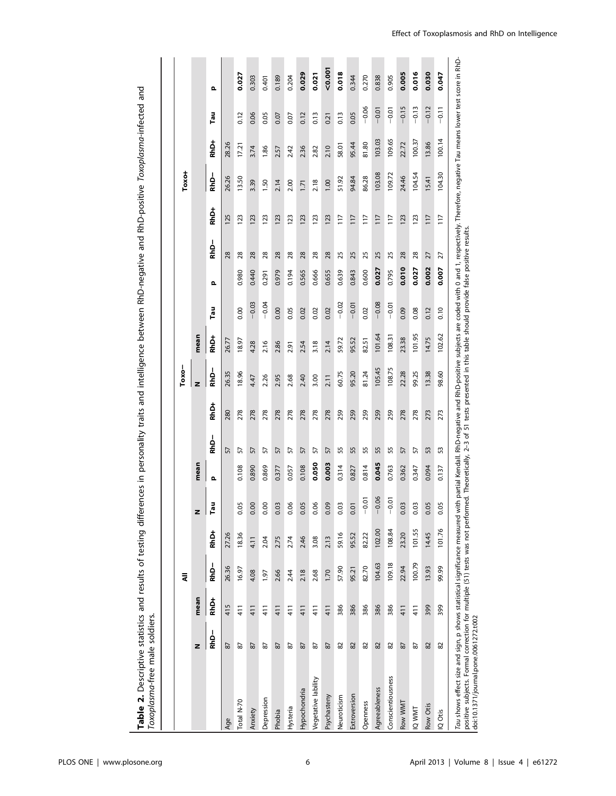| $1$ My Demonstrate Theorem and $2$                                                                                                                                                                                                                                                                                                                                                                                                                       |      |      |        |                  |                                  |       |      |      |         |                  |         |              |        |                  |        |                  |         |       |
|----------------------------------------------------------------------------------------------------------------------------------------------------------------------------------------------------------------------------------------------------------------------------------------------------------------------------------------------------------------------------------------------------------------------------------------------------------|------|------|--------|------------------|----------------------------------|-------|------|------|---------|------------------|---------|--------------|--------|------------------|--------|------------------|---------|-------|
|                                                                                                                                                                                                                                                                                                                                                                                                                                                          |      |      | ₹      |                  |                                  |       |      |      | $Toxo-$ |                  |         |              |        |                  | Toxo+  |                  |         |       |
|                                                                                                                                                                                                                                                                                                                                                                                                                                                          | z    | mean |        |                  | z                                | mean  |      |      | z       | mean             |         |              |        |                  |        |                  |         |       |
|                                                                                                                                                                                                                                                                                                                                                                                                                                                          | RhD- | RhD+ | RhD-   | RhD <sub>+</sub> | <b>Lau</b>                       | ௨     | RhD- | RhD+ | RhD-    | RhD <sub>+</sub> | Tau     | $\mathbf{a}$ | $RhD-$ | RhD <sub>+</sub> | RhD-   | RhD <sub>+</sub> | Tau     | Ω     |
| Age                                                                                                                                                                                                                                                                                                                                                                                                                                                      | 87   | 415  | 26.36  | 27.26            |                                  |       | 57   | 280  | 26.35   | 26.77            |         |              | 28     | 125              | 26.26  | 28.26            |         |       |
| Total N-70                                                                                                                                                                                                                                                                                                                                                                                                                                               | 87   | 411  | 16.97  | 18.36            | 0.05                             | 0.108 | 57   | 278  | 18.96   | 18.97            | 0.00    | 0.980        | 28     | 123              | 13.50  | 17.21            | 0.12    | 0.027 |
| Anxiety                                                                                                                                                                                                                                                                                                                                                                                                                                                  | 87   | 411  | 4.08   | 4.11             | 0.00                             | 0.890 | 57   | 278  | 4.47    | 4.28             | $-0.03$ | 0.440        | 28     | 123              | 3.39   | 3.74             | 0.06    | 0.303 |
| Depression                                                                                                                                                                                                                                                                                                                                                                                                                                               | 87   | 411  | 1.97   | 2.04             | 0.00                             | 0.869 | 57   | 278  | 2.26    | 2.16             | $-0.04$ | 0.291        | 28     | 123              | 1.50   | 1.86             | 0.05    | 0.401 |
| Phobia                                                                                                                                                                                                                                                                                                                                                                                                                                                   | 87   | 411  | 2.66   | 2.75             | 0.03                             | 0.377 | 57   | 278  | 2.95    | 2.86             | 0.00    | 0.979        | 28     | 123              | 2.14   | 2.57             | 0.07    | 0.189 |
| Hysteria                                                                                                                                                                                                                                                                                                                                                                                                                                                 | 87   | 411  | 2.44   | 2.74             | 0.06                             | 0.057 | 57   | 278  | 2.68    | 2.91             | 0.05    | 0.194        | 28     | 123              | 2.00   | 2.42             | 0.07    | 0.204 |
| Hypochondria                                                                                                                                                                                                                                                                                                                                                                                                                                             | 87   | 411  | 2.18   | 2.46             | 0.05                             | 0.108 | 57   | 278  | 2.40    | 2.54             | 0.02    | 0.565        | 28     | 123              | 1.71   | 236              | 0.12    | 0.029 |
| Vegetative lability                                                                                                                                                                                                                                                                                                                                                                                                                                      | 87   | 411  | 2.68   | 3.08             | 0.06                             | 0.050 | 57   | 278  | 3.00    | 3.18             | 0.02    | 0.666        | 28     | 123              | 2.18   | 2.82             | 0.13    | 0.021 |
| Psychasteny                                                                                                                                                                                                                                                                                                                                                                                                                                              | 87   | 411  | 1.70   | 2.13             | 0.09                             | 0.003 | 57   | 278  | 2.11    | 2.14             | 0.02    | 0.655        | 28     | 123              | 1.00   | 2.10             | 0.21    | 0.001 |
| Neuroticism                                                                                                                                                                                                                                                                                                                                                                                                                                              | 82   | 386  | 57.90  | 59.16            | 0.03                             | 0.314 | 55   | 259  | 60.75   | 59.72            | $-0.02$ | 0.639        | 25     | 117              | 51.92  | 58.01            | 0.13    | 0.018 |
| Extroversion                                                                                                                                                                                                                                                                                                                                                                                                                                             | 82   | 386  | 95.21  | 95.52            | 0.01                             | 0.827 | 55   | 259  | 95.20   | 95.52            | $-0.01$ | 0.843        | 25     | 117              | 94.84  | 95.44            | 0.05    | 0.344 |
| Openness                                                                                                                                                                                                                                                                                                                                                                                                                                                 | 82   | 386  | 82.70  | 82.22            | ē<br>ု                           | 0.814 | 55   | 259  | 81.24   | 82.51            | 0.02    | 0.600        | 25     | 117              | 86.28  | 81.80            | $-0.06$ | 0.270 |
| Agreeableness                                                                                                                                                                                                                                                                                                                                                                                                                                            | 82   | 386  | 104.63 | 102.00           | 06.<br>$\frac{1}{2}$             | 0.045 | 55   | 259  | 105.45  | 101.64           | $-0.08$ | 0.027        | 25     | 117              | 103.08 | 103.03           | $-0.01$ | 0.838 |
| Conscientiousness                                                                                                                                                                                                                                                                                                                                                                                                                                        | 82   | 386  | 109.18 | 108.84           | $\overline{5}$<br>$\overline{a}$ | 0.763 | 55   | 259  | 108.75  | 108.31           | $-0.01$ | 0.795        | 25     | $\frac{1}{2}$    | 109.72 | 109.65           | $-0.01$ | 0.905 |
| Row WMT                                                                                                                                                                                                                                                                                                                                                                                                                                                  | 87   | 411  | 22.94  | 23.20            | 0.03                             | 0.362 | 57   | 278  | 22.28   | 23.38            | 0.09    | 0.010        | 28     | 123              | 24.46  | 22.72            | $-0.15$ | 0.005 |
| Q WMT                                                                                                                                                                                                                                                                                                                                                                                                                                                    | 87   | 411  | 100.79 | 101.55           | 0.03                             | 0.347 | 57   | 278  | 99.25   | 101.95           | 0.08    | 0.027        | 28     | 123              | 104.54 | 100.37           | $-0.13$ | 0.016 |
| Row Otis                                                                                                                                                                                                                                                                                                                                                                                                                                                 | 82   | 399  | 13.93  | 14.45            | 0.05                             | 0.094 | 53   | 273  | 13.38   | 14.75            | 0.12    | 0.002        | 27     | 117              | 15.41  | 13.86            | $-0.12$ | 0.030 |
| IQ Otis                                                                                                                                                                                                                                                                                                                                                                                                                                                  | 82   | 399  | 99.99  | 101.76           | 0.05                             | 0.137 | S    | 273  | 98.60   | 102.62           | 0.10    | 0.007        | 27     | 117              | 104.30 | 100.14           | $-0.11$ | 0.047 |
| Tau shows effect size and sign, p shows statistical significance measured with partial Kendall. RhD-negative and RhD-positive subjects are coded with 0 and 1, respectively. Therefore, negative Tau means lower test score in<br>positive subjects. Formal correction for multiple (51) tests was not performed. Theoretically, 2-3 of 51 tests presented in this table should provide false positive results.<br>doi:10.1371/journal.pone.0061272.t002 |      |      |        |                  |                                  |       |      |      |         |                  |         |              |        |                  |        |                  |         |       |

Table 2. Descriptive statistics and results of testing differences in personality traits and intelligence between RhD-negative and RhD-positive Toxoplasma-infected and<br>Toxoplasma-free male soldiers. Table 2. Descriptive statistics and results of testing differences in personality traits and intelligence between RhD-negative and RhD-positive Toxoplasma-infected and Toxoplasma-free male soldiers.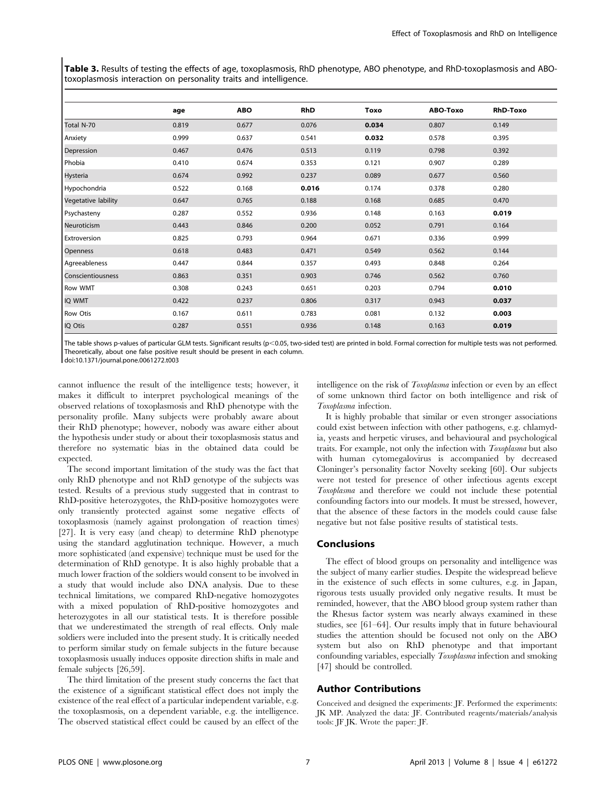Table 3. Results of testing the effects of age, toxoplasmosis, RhD phenotype, ABO phenotype, and RhD-toxoplasmosis and ABOtoxoplasmosis interaction on personality traits and intelligence.

|                     | age   | <b>ABO</b> | <b>RhD</b> | Toxo  | ABO-Toxo | <b>RhD-Toxo</b> |
|---------------------|-------|------------|------------|-------|----------|-----------------|
| Total N-70          | 0.819 | 0.677      | 0.076      | 0.034 | 0.807    | 0.149           |
| Anxiety             | 0.999 | 0.637      | 0.541      | 0.032 | 0.578    | 0.395           |
| Depression          | 0.467 | 0.476      | 0.513      | 0.119 | 0.798    | 0.392           |
| Phobia              | 0.410 | 0.674      | 0.353      | 0.121 | 0.907    | 0.289           |
| Hysteria            | 0.674 | 0.992      | 0.237      | 0.089 | 0.677    | 0.560           |
| Hypochondria        | 0.522 | 0.168      | 0.016      | 0.174 | 0.378    | 0.280           |
| Vegetative lability | 0.647 | 0.765      | 0.188      | 0.168 | 0.685    | 0.470           |
| Psychasteny         | 0.287 | 0.552      | 0.936      | 0.148 | 0.163    | 0.019           |
| Neuroticism         | 0.443 | 0.846      | 0.200      | 0.052 | 0.791    | 0.164           |
| Extroversion        | 0.825 | 0.793      | 0.964      | 0.671 | 0.336    | 0.999           |
| Openness            | 0.618 | 0.483      | 0.471      | 0.549 | 0.562    | 0.144           |
| Agreeableness       | 0.447 | 0.844      | 0.357      | 0.493 | 0.848    | 0.264           |
| Conscientiousness   | 0.863 | 0.351      | 0.903      | 0.746 | 0.562    | 0.760           |
| <b>Row WMT</b>      | 0.308 | 0.243      | 0.651      | 0.203 | 0.794    | 0.010           |
| IQ WMT              | 0.422 | 0.237      | 0.806      | 0.317 | 0.943    | 0.037           |
| <b>Row Otis</b>     | 0.167 | 0.611      | 0.783      | 0.081 | 0.132    | 0.003           |
| IQ Otis             | 0.287 | 0.551      | 0.936      | 0.148 | 0.163    | 0.019           |

The table shows p-values of particular GLM tests. Significant results (p<0.05, two-sided test) are printed in bold. Formal correction for multiple tests was not performed. Theoretically, about one false positive result should be present in each column.

doi:10.1371/journal.pone.0061272.t003

cannot influence the result of the intelligence tests; however, it makes it difficult to interpret psychological meanings of the observed relations of toxoplasmosis and RhD phenotype with the personality profile. Many subjects were probably aware about their RhD phenotype; however, nobody was aware either about the hypothesis under study or about their toxoplasmosis status and therefore no systematic bias in the obtained data could be expected.

The second important limitation of the study was the fact that only RhD phenotype and not RhD genotype of the subjects was tested. Results of a previous study suggested that in contrast to RhD-positive heterozygotes, the RhD-positive homozygotes were only transiently protected against some negative effects of toxoplasmosis (namely against prolongation of reaction times) [27]. It is very easy (and cheap) to determine RhD phenotype using the standard agglutination technique. However, a much more sophisticated (and expensive) technique must be used for the determination of RhD genotype. It is also highly probable that a much lower fraction of the soldiers would consent to be involved in a study that would include also DNA analysis. Due to these technical limitations, we compared RhD-negative homozygotes with a mixed population of RhD-positive homozygotes and heterozygotes in all our statistical tests. It is therefore possible that we underestimated the strength of real effects. Only male soldiers were included into the present study. It is critically needed to perform similar study on female subjects in the future because toxoplasmosis usually induces opposite direction shifts in male and female subjects [26,59].

The third limitation of the present study concerns the fact that the existence of a significant statistical effect does not imply the existence of the real effect of a particular independent variable, e.g. the toxoplasmosis, on a dependent variable, e.g. the intelligence. The observed statistical effect could be caused by an effect of the

intelligence on the risk of Toxoplasma infection or even by an effect of some unknown third factor on both intelligence and risk of Toxoplasma infection.

It is highly probable that similar or even stronger associations could exist between infection with other pathogens, e.g. chlamydia, yeasts and herpetic viruses, and behavioural and psychological traits. For example, not only the infection with Toxoplasma but also with human cytomegalovirus is accompanied by decreased Cloninger's personality factor Novelty seeking [60]. Our subjects were not tested for presence of other infectious agents except Toxoplasma and therefore we could not include these potential confounding factors into our models. It must be stressed, however, that the absence of these factors in the models could cause false negative but not false positive results of statistical tests.

#### Conclusions

The effect of blood groups on personality and intelligence was the subject of many earlier studies. Despite the widespread believe in the existence of such effects in some cultures, e.g. in Japan, rigorous tests usually provided only negative results. It must be reminded, however, that the ABO blood group system rather than the Rhesus factor system was nearly always examined in these studies, see [61–64]. Our results imply that in future behavioural studies the attention should be focused not only on the ABO system but also on RhD phenotype and that important confounding variables, especially Toxoplasma infection and smoking [47] should be controlled.

# Author Contributions

Conceived and designed the experiments: JF. Performed the experiments: JK MP. Analyzed the data: JF. Contributed reagents/materials/analysis tools: JF JK. Wrote the paper: JF.